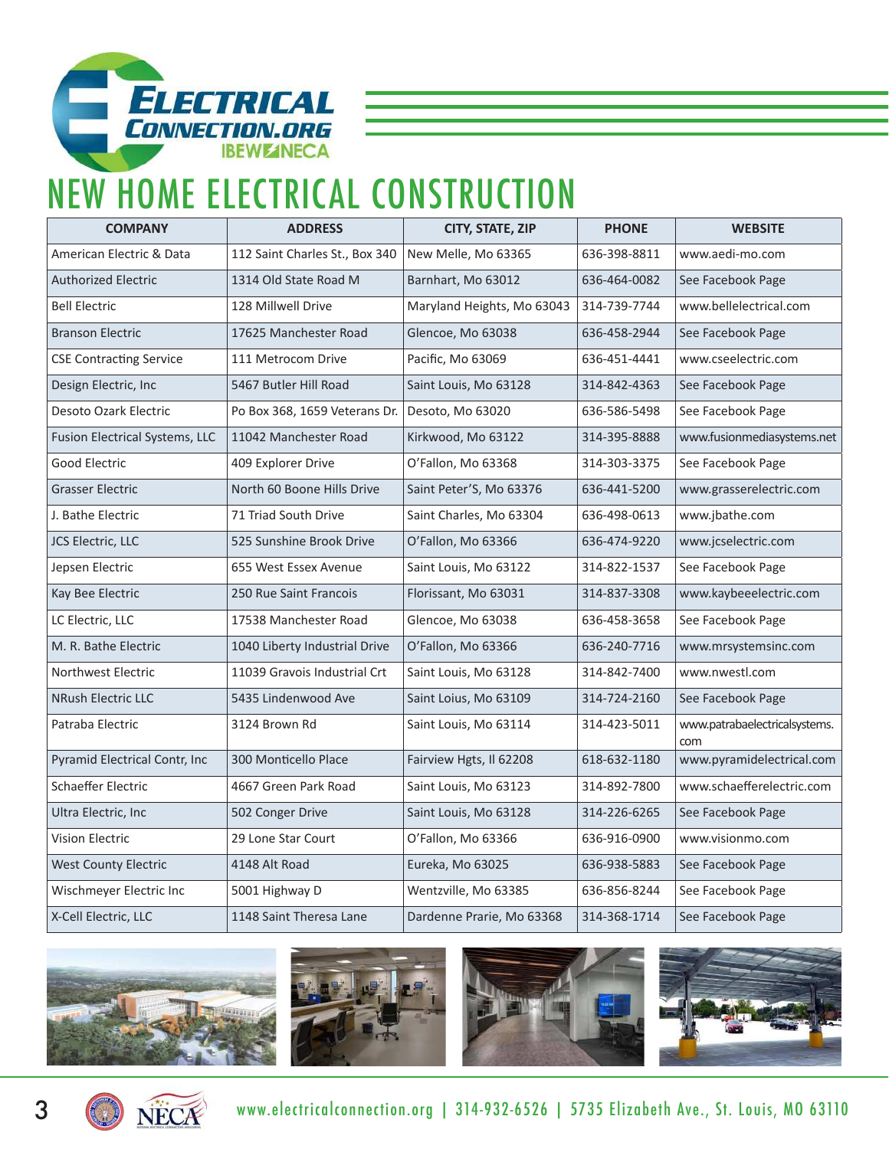

## NEW HOME ELECTRICAL CONSTRUCTION

| <b>COMPANY</b>                 | <b>ADDRESS</b>                 | CITY, STATE, ZIP           | <b>PHONE</b> | <b>WEBSITE</b>                       |
|--------------------------------|--------------------------------|----------------------------|--------------|--------------------------------------|
| American Electric & Data       | 112 Saint Charles St., Box 340 | New Melle, Mo 63365        | 636-398-8811 | www.aedi-mo.com                      |
| <b>Authorized Electric</b>     | 1314 Old State Road M          | Barnhart, Mo 63012         | 636-464-0082 | See Facebook Page                    |
| <b>Bell Electric</b>           | 128 Millwell Drive             | Maryland Heights, Mo 63043 | 314-739-7744 | www.bellelectrical.com               |
| <b>Branson Electric</b>        | 17625 Manchester Road          | Glencoe, Mo 63038          | 636-458-2944 | See Facebook Page                    |
| <b>CSE Contracting Service</b> | 111 Metrocom Drive             | Pacific, Mo 63069          | 636-451-4441 | www.cseelectric.com                  |
| Design Electric, Inc           | 5467 Butler Hill Road          | Saint Louis, Mo 63128      | 314-842-4363 | See Facebook Page                    |
| Desoto Ozark Electric          | Po Box 368, 1659 Veterans Dr.  | Desoto, Mo 63020           | 636-586-5498 | See Facebook Page                    |
| Fusion Electrical Systems, LLC | 11042 Manchester Road          | Kirkwood, Mo 63122         | 314-395-8888 | www.fusionmediasystems.net           |
| Good Electric                  | 409 Explorer Drive             | O'Fallon, Mo 63368         | 314-303-3375 | See Facebook Page                    |
| <b>Grasser Electric</b>        | North 60 Boone Hills Drive     | Saint Peter'S, Mo 63376    | 636-441-5200 | www.grasserelectric.com              |
| J. Bathe Electric              | 71 Triad South Drive           | Saint Charles, Mo 63304    | 636-498-0613 | www.jbathe.com                       |
| JCS Electric, LLC              | 525 Sunshine Brook Drive       | O'Fallon, Mo 63366         | 636-474-9220 | www.jcselectric.com                  |
| Jepsen Electric                | 655 West Essex Avenue          | Saint Louis, Mo 63122      | 314-822-1537 | See Facebook Page                    |
| Kay Bee Electric               | 250 Rue Saint Francois         | Florissant, Mo 63031       | 314-837-3308 | www.kaybeeelectric.com               |
| LC Electric, LLC               | 17538 Manchester Road          | Glencoe, Mo 63038          | 636-458-3658 | See Facebook Page                    |
| M. R. Bathe Electric           | 1040 Liberty Industrial Drive  | O'Fallon, Mo 63366         | 636-240-7716 | www.mrsystemsinc.com                 |
| Northwest Electric             | 11039 Gravois Industrial Crt   | Saint Louis, Mo 63128      | 314-842-7400 | www.nwestl.com                       |
| <b>NRush Electric LLC</b>      | 5435 Lindenwood Ave            | Saint Loius, Mo 63109      | 314-724-2160 | See Facebook Page                    |
| Patraba Electric               | 3124 Brown Rd                  | Saint Louis, Mo 63114      | 314-423-5011 | www.patrabaelectricalsystems.<br>com |
| Pyramid Electrical Contr, Inc  | 300 Monticello Place           | Fairview Hgts, Il 62208    | 618-632-1180 | www.pyramidelectrical.com            |
| <b>Schaeffer Electric</b>      | 4667 Green Park Road           | Saint Louis, Mo 63123      | 314-892-7800 | www.schaefferelectric.com            |
| Ultra Electric, Inc.           | 502 Conger Drive               | Saint Louis, Mo 63128      | 314-226-6265 | See Facebook Page                    |
| <b>Vision Electric</b>         | 29 Lone Star Court             | O'Fallon, Mo 63366         | 636-916-0900 | www.visionmo.com                     |
| <b>West County Electric</b>    | 4148 Alt Road                  | Eureka, Mo 63025           | 636-938-5883 | See Facebook Page                    |
| Wischmeyer Electric Inc        | 5001 Highway D                 | Wentzville, Mo 63385       | 636-856-8244 | See Facebook Page                    |
| X-Cell Electric, LLC           | 1148 Saint Theresa Lane        | Dardenne Prarie, Mo 63368  | 314-368-1714 | See Facebook Page                    |











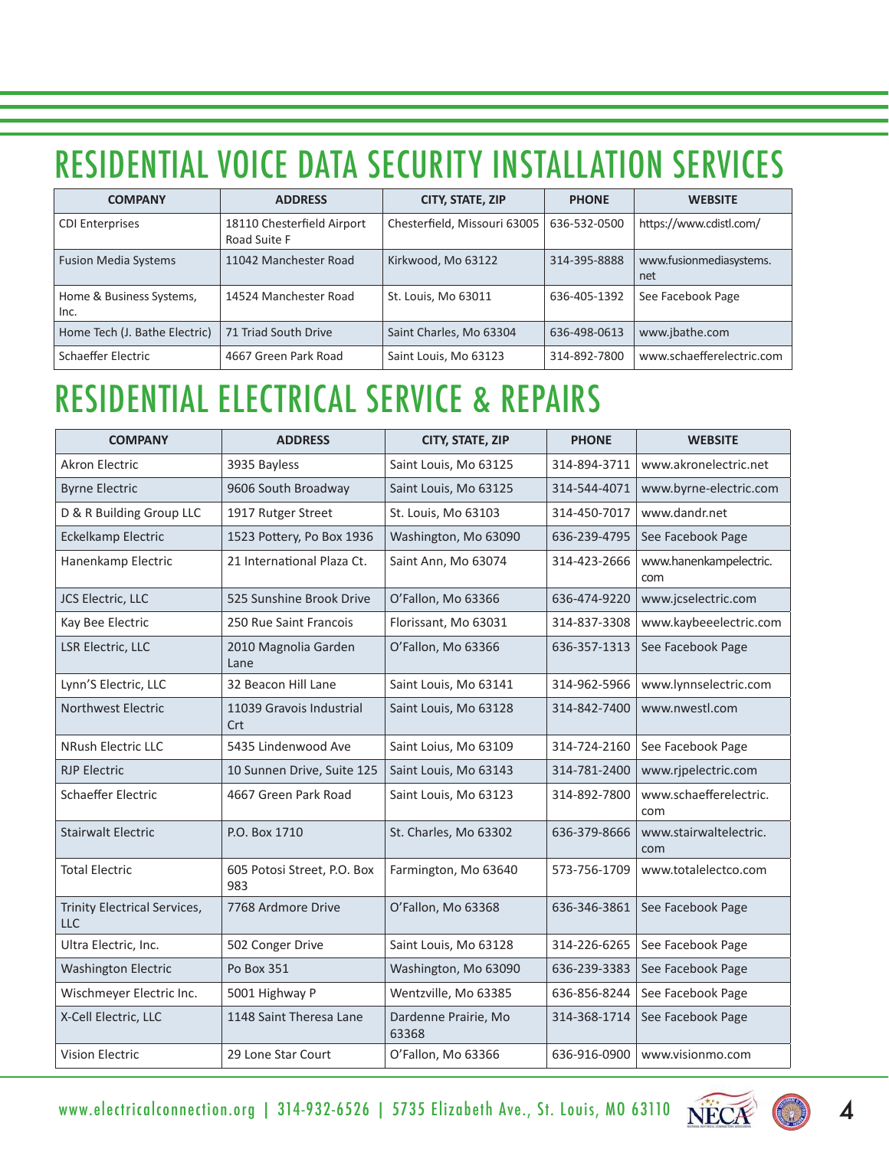### RESIDENTIAL VOICE DATA SECURITY INSTALLATION SERVICES

| <b>COMPANY</b>                   | <b>ADDRESS</b>                             | CITY, STATE, ZIP             | <b>PHONE</b> | <b>WEBSITE</b>                 |
|----------------------------------|--------------------------------------------|------------------------------|--------------|--------------------------------|
| <b>CDI Enterprises</b>           | 18110 Chesterfield Airport<br>Road Suite F | Chesterfield, Missouri 63005 | 636-532-0500 | https://www.cdistl.com/        |
| <b>Fusion Media Systems</b>      | 11042 Manchester Road                      | Kirkwood, Mo 63122           | 314-395-8888 | www.fusionmediasystems.<br>net |
| Home & Business Systems,<br>Inc. | 14524 Manchester Road                      | St. Louis, Mo 63011          | 636-405-1392 | See Facebook Page              |
| Home Tech (J. Bathe Electric)    | 71 Triad South Drive                       | Saint Charles, Mo 63304      | 636-498-0613 | www.jbathe.com                 |
| Schaeffer Electric               | 4667 Green Park Road                       | Saint Louis, Mo 63123        | 314-892-7800 | www.schaefferelectric.com      |

#### RESIDENTIAL ELECTRICAL SERVICE & REPAIRS

| <b>COMPANY</b>                             | <b>ADDRESS</b>                     | CITY, STATE, ZIP              | <b>PHONE</b> | <b>WEBSITE</b>                |
|--------------------------------------------|------------------------------------|-------------------------------|--------------|-------------------------------|
| <b>Akron Electric</b>                      | 3935 Bayless                       | Saint Louis, Mo 63125         | 314-894-3711 | www.akronelectric.net         |
| <b>Byrne Electric</b>                      | 9606 South Broadway                | Saint Louis, Mo 63125         | 314-544-4071 | www.byrne-electric.com        |
| D & R Building Group LLC                   | 1917 Rutger Street                 | St. Louis, Mo 63103           | 314-450-7017 | www.dandr.net                 |
| Eckelkamp Electric                         | 1523 Pottery, Po Box 1936          | Washington, Mo 63090          | 636-239-4795 | See Facebook Page             |
| Hanenkamp Electric                         | 21 International Plaza Ct.         | Saint Ann, Mo 63074           | 314-423-2666 | www.hanenkampelectric.<br>com |
| JCS Electric, LLC                          | 525 Sunshine Brook Drive           | O'Fallon, Mo 63366            | 636-474-9220 | www.jcselectric.com           |
| Kay Bee Electric                           | 250 Rue Saint Francois             | Florissant, Mo 63031          | 314-837-3308 | www.kaybeeelectric.com        |
| LSR Electric, LLC                          | 2010 Magnolia Garden<br>Lane       | O'Fallon, Mo 63366            | 636-357-1313 | See Facebook Page             |
| Lynn'S Electric, LLC                       | 32 Beacon Hill Lane                | Saint Louis, Mo 63141         | 314-962-5966 | www.lynnselectric.com         |
| Northwest Electric                         | 11039 Gravois Industrial<br>Crt    | Saint Louis, Mo 63128         | 314-842-7400 | www.nwestl.com                |
| <b>NRush Electric LLC</b>                  | 5435 Lindenwood Ave                | Saint Loius, Mo 63109         | 314-724-2160 | See Facebook Page             |
| <b>RJP Electric</b>                        | 10 Sunnen Drive, Suite 125         | Saint Louis, Mo 63143         | 314-781-2400 | www.rjpelectric.com           |
| <b>Schaeffer Electric</b>                  | 4667 Green Park Road               | Saint Louis, Mo 63123         | 314-892-7800 | www.schaefferelectric.<br>com |
| <b>Stairwalt Electric</b>                  | P.O. Box 1710                      | St. Charles, Mo 63302         | 636-379-8666 | www.stairwaltelectric.<br>com |
| <b>Total Electric</b>                      | 605 Potosi Street, P.O. Box<br>983 | Farmington, Mo 63640          | 573-756-1709 | www.totalelectco.com          |
| Trinity Electrical Services,<br><b>LLC</b> | 7768 Ardmore Drive                 | O'Fallon, Mo 63368            | 636-346-3861 | See Facebook Page             |
| Ultra Electric, Inc.                       | 502 Conger Drive                   | Saint Louis, Mo 63128         | 314-226-6265 | See Facebook Page             |
| <b>Washington Electric</b>                 | Po Box 351                         | Washington, Mo 63090          | 636-239-3383 | See Facebook Page             |
| Wischmeyer Electric Inc.                   | 5001 Highway P                     | Wentzville, Mo 63385          | 636-856-8244 | See Facebook Page             |
| X-Cell Electric, LLC                       | 1148 Saint Theresa Lane            | Dardenne Prairie, Mo<br>63368 | 314-368-1714 | See Facebook Page             |
| <b>Vision Electric</b>                     | 29 Lone Star Court                 | O'Fallon, Mo 63366            | 636-916-0900 | www.visionmo.com              |

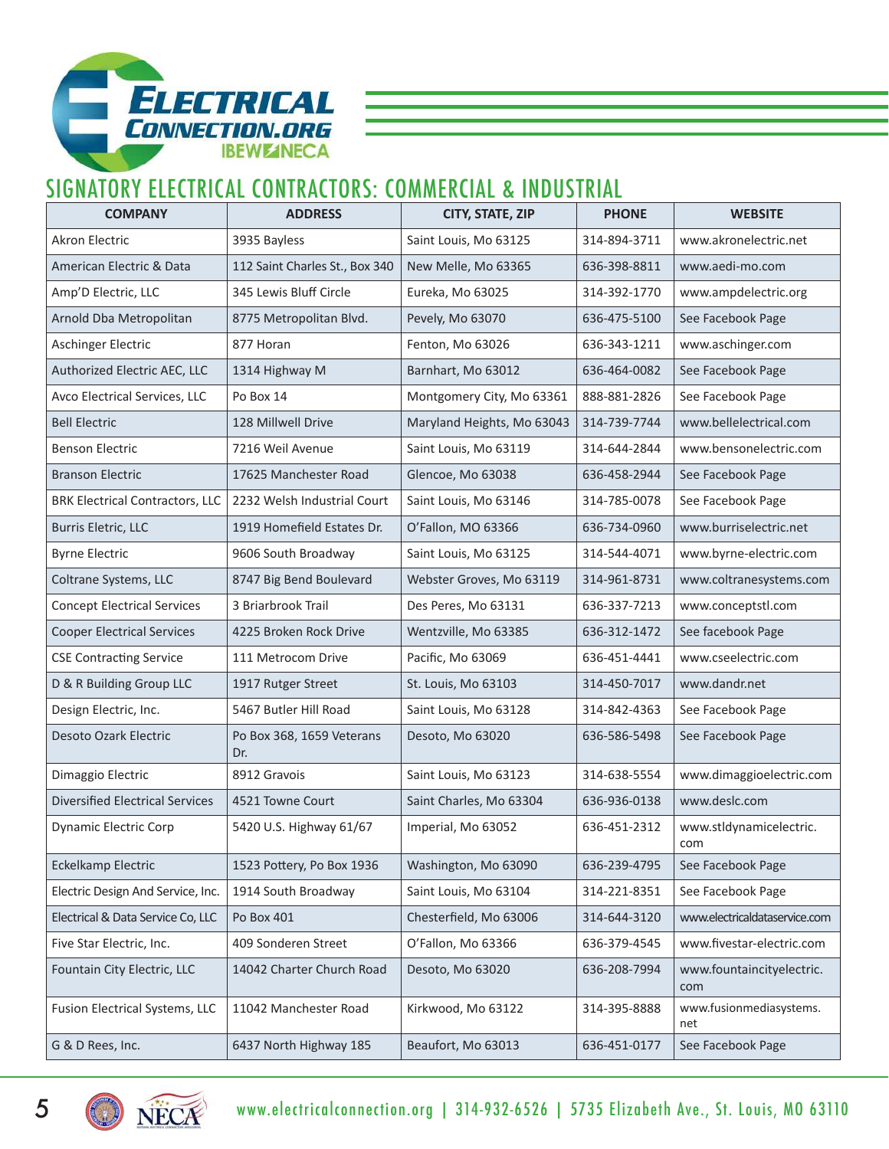

#### SIGNATORY ELECTRICAL CONTRACTORS: COMMERCIAL & INDUSTRIAL

| <b>COMPANY</b>                         | <b>ADDRESS</b>                   | CITY, STATE, ZIP           | <b>PHONE</b> | <b>WEBSITE</b>                   |
|----------------------------------------|----------------------------------|----------------------------|--------------|----------------------------------|
| <b>Akron Electric</b>                  | 3935 Bayless                     | Saint Louis, Mo 63125      | 314-894-3711 | www.akronelectric.net            |
| American Electric & Data               | 112 Saint Charles St., Box 340   | New Melle, Mo 63365        | 636-398-8811 | www.aedi-mo.com                  |
| Amp'D Electric, LLC                    | 345 Lewis Bluff Circle           | Eureka, Mo 63025           | 314-392-1770 | www.ampdelectric.org             |
| Arnold Dba Metropolitan                | 8775 Metropolitan Blvd.          | Pevely, Mo 63070           | 636-475-5100 | See Facebook Page                |
| Aschinger Electric                     | 877 Horan                        | Fenton, Mo 63026           | 636-343-1211 | www.aschinger.com                |
| Authorized Electric AEC, LLC           | 1314 Highway M                   | Barnhart, Mo 63012         | 636-464-0082 | See Facebook Page                |
| Avco Electrical Services, LLC          | Po Box 14                        | Montgomery City, Mo 63361  | 888-881-2826 | See Facebook Page                |
| <b>Bell Electric</b>                   | 128 Millwell Drive               | Maryland Heights, Mo 63043 | 314-739-7744 | www.bellelectrical.com           |
| <b>Benson Electric</b>                 | 7216 Weil Avenue                 | Saint Louis, Mo 63119      | 314-644-2844 | www.bensonelectric.com           |
| <b>Branson Electric</b>                | 17625 Manchester Road            | Glencoe, Mo 63038          | 636-458-2944 | See Facebook Page                |
| <b>BRK Electrical Contractors, LLC</b> | 2232 Welsh Industrial Court      | Saint Louis, Mo 63146      | 314-785-0078 | See Facebook Page                |
| Burris Eletric, LLC                    | 1919 Homefield Estates Dr.       | O'Fallon, MO 63366         | 636-734-0960 | www.burriselectric.net           |
| <b>Byrne Electric</b>                  | 9606 South Broadway              | Saint Louis, Mo 63125      | 314-544-4071 | www.byrne-electric.com           |
| Coltrane Systems, LLC                  | 8747 Big Bend Boulevard          | Webster Groves, Mo 63119   | 314-961-8731 | www.coltranesystems.com          |
| <b>Concept Electrical Services</b>     | 3 Briarbrook Trail               | Des Peres, Mo 63131        | 636-337-7213 | www.conceptstl.com               |
| <b>Cooper Electrical Services</b>      | 4225 Broken Rock Drive           | Wentzville, Mo 63385       | 636-312-1472 | See facebook Page                |
| <b>CSE Contracting Service</b>         | 111 Metrocom Drive               | Pacific, Mo 63069          | 636-451-4441 | www.cseelectric.com              |
| D & R Building Group LLC               | 1917 Rutger Street               | St. Louis, Mo 63103        | 314-450-7017 | www.dandr.net                    |
| Design Electric, Inc.                  | 5467 Butler Hill Road            | Saint Louis, Mo 63128      | 314-842-4363 | See Facebook Page                |
| <b>Desoto Ozark Electric</b>           | Po Box 368, 1659 Veterans<br>Dr. | Desoto, Mo 63020           | 636-586-5498 | See Facebook Page                |
| Dimaggio Electric                      | 8912 Gravois                     | Saint Louis, Mo 63123      | 314-638-5554 | www.dimaggioelectric.com         |
| <b>Diversified Electrical Services</b> | 4521 Towne Court                 | Saint Charles, Mo 63304    | 636-936-0138 | www.deslc.com                    |
| <b>Dynamic Electric Corp</b>           | 5420 U.S. Highway 61/67          | Imperial, Mo 63052         | 636-451-2312 | www.stldynamicelectric.<br>com   |
| Eckelkamp Electric                     | 1523 Pottery, Po Box 1936        | Washington, Mo 63090       | 636-239-4795 | See Facebook Page                |
| Electric Design And Service, Inc.      | 1914 South Broadway              | Saint Louis, Mo 63104      | 314-221-8351 | See Facebook Page                |
| Electrical & Data Service Co, LLC      | Po Box 401                       | Chesterfield, Mo 63006     | 314-644-3120 | www.electricaldataservice.com    |
| Five Star Electric, Inc.               | 409 Sonderen Street              | O'Fallon, Mo 63366         | 636-379-4545 | www.fivestar-electric.com        |
| Fountain City Electric, LLC            | 14042 Charter Church Road        | Desoto, Mo 63020           | 636-208-7994 | www.fountaincityelectric.<br>com |
| Fusion Electrical Systems, LLC         | 11042 Manchester Road            | Kirkwood, Mo 63122         | 314-395-8888 | www.fusionmediasystems.<br>net   |
| G & D Rees, Inc.                       | 6437 North Highway 185           | Beaufort, Mo 63013         | 636-451-0177 | See Facebook Page                |



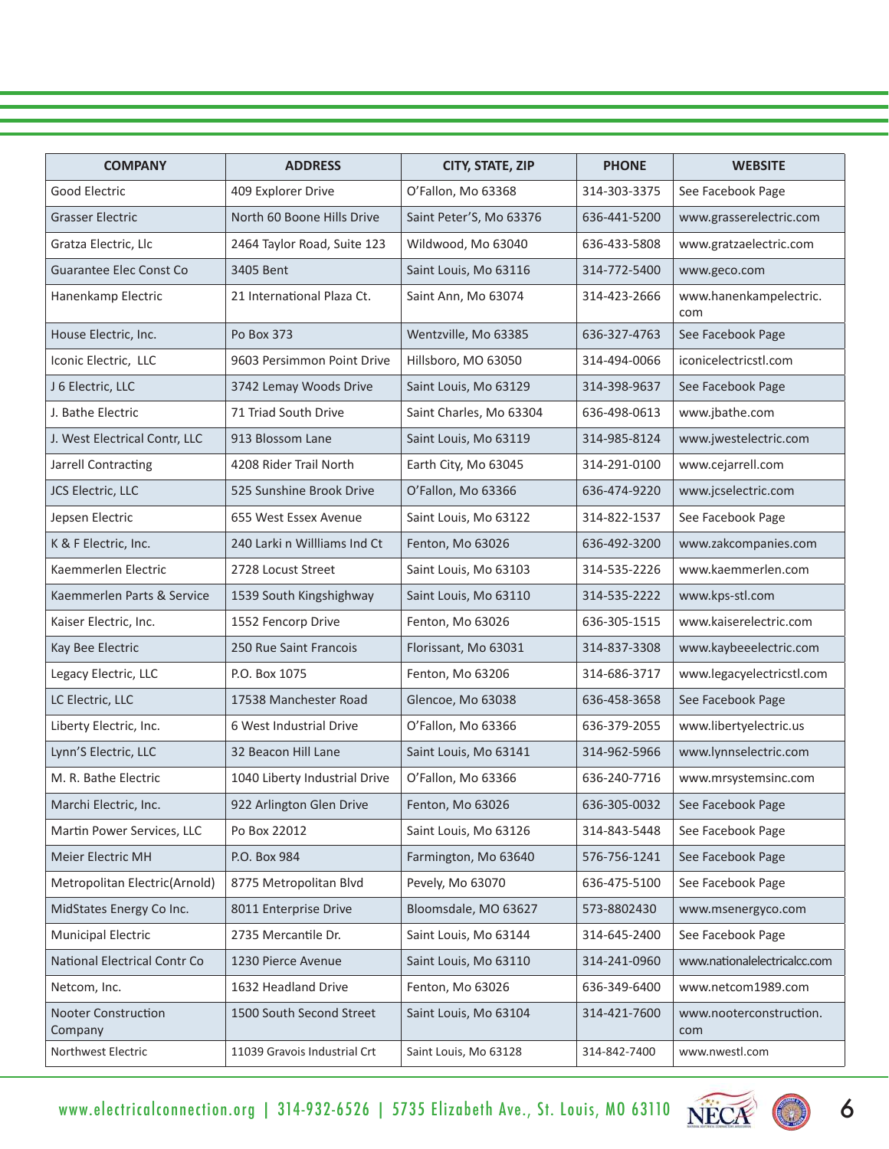| <b>COMPANY</b>                 | <b>ADDRESS</b>                | CITY, STATE, ZIP        | <b>PHONE</b> | <b>WEBSITE</b>                 |
|--------------------------------|-------------------------------|-------------------------|--------------|--------------------------------|
| Good Electric                  | 409 Explorer Drive            | O'Fallon, Mo 63368      | 314-303-3375 | See Facebook Page              |
| <b>Grasser Electric</b>        | North 60 Boone Hills Drive    | Saint Peter'S, Mo 63376 | 636-441-5200 | www.grasserelectric.com        |
| Gratza Electric, Llc           | 2464 Taylor Road, Suite 123   | Wildwood, Mo 63040      | 636-433-5808 | www.gratzaelectric.com         |
| <b>Guarantee Elec Const Co</b> | 3405 Bent                     | Saint Louis, Mo 63116   | 314-772-5400 | www.geco.com                   |
| Hanenkamp Electric             | 21 International Plaza Ct.    | Saint Ann, Mo 63074     | 314-423-2666 | www.hanenkampelectric.<br>com  |
| House Electric, Inc.           | Po Box 373                    | Wentzville, Mo 63385    | 636-327-4763 | See Facebook Page              |
| Iconic Electric, LLC           | 9603 Persimmon Point Drive    | Hillsboro, MO 63050     | 314-494-0066 | iconicelectricstl.com          |
| J 6 Electric, LLC              | 3742 Lemay Woods Drive        | Saint Louis, Mo 63129   | 314-398-9637 | See Facebook Page              |
| J. Bathe Electric              | 71 Triad South Drive          | Saint Charles, Mo 63304 | 636-498-0613 | www.jbathe.com                 |
| J. West Electrical Contr, LLC  | 913 Blossom Lane              | Saint Louis, Mo 63119   | 314-985-8124 | www.jwestelectric.com          |
| Jarrell Contracting            | 4208 Rider Trail North        | Earth City, Mo 63045    | 314-291-0100 | www.cejarrell.com              |
| JCS Electric, LLC              | 525 Sunshine Brook Drive      | O'Fallon, Mo 63366      | 636-474-9220 | www.jcselectric.com            |
| Jepsen Electric                | 655 West Essex Avenue         | Saint Louis, Mo 63122   | 314-822-1537 | See Facebook Page              |
| K & F Electric, Inc.           | 240 Larki n Willliams Ind Ct  | Fenton, Mo 63026        | 636-492-3200 | www.zakcompanies.com           |
| Kaemmerlen Electric            | 2728 Locust Street            | Saint Louis, Mo 63103   | 314-535-2226 | www.kaemmerlen.com             |
| Kaemmerlen Parts & Service     | 1539 South Kingshighway       | Saint Louis, Mo 63110   | 314-535-2222 | www.kps-stl.com                |
| Kaiser Electric, Inc.          | 1552 Fencorp Drive            | Fenton, Mo 63026        | 636-305-1515 | www.kaiserelectric.com         |
| Kay Bee Electric               | 250 Rue Saint Francois        | Florissant, Mo 63031    | 314-837-3308 | www.kaybeeelectric.com         |
| Legacy Electric, LLC           | P.O. Box 1075                 | Fenton, Mo 63206        | 314-686-3717 | www.legacyelectricstl.com      |
| LC Electric, LLC               | 17538 Manchester Road         | Glencoe, Mo 63038       | 636-458-3658 | See Facebook Page              |
| Liberty Electric, Inc.         | 6 West Industrial Drive       | O'Fallon, Mo 63366      | 636-379-2055 | www.libertyelectric.us         |
| Lynn'S Electric, LLC           | 32 Beacon Hill Lane           | Saint Louis, Mo 63141   | 314-962-5966 | www.lynnselectric.com          |
| M. R. Bathe Electric           | 1040 Liberty Industrial Drive | O'Fallon, Mo 63366      | 636-240-7716 | www.mrsystemsinc.com           |
| Marchi Electric, Inc.          | 922 Arlington Glen Drive      | Fenton, Mo 63026        | 636-305-0032 | See Facebook Page              |
| Martin Power Services, LLC     | Po Box 22012                  | Saint Louis, Mo 63126   | 314-843-5448 | See Facebook Page              |
| Meier Electric MH              | P.O. Box 984                  | Farmington, Mo 63640    | 576-756-1241 | See Facebook Page              |
| Metropolitan Electric(Arnold)  | 8775 Metropolitan Blvd        | Pevely, Mo 63070        | 636-475-5100 | See Facebook Page              |
| MidStates Energy Co Inc.       | 8011 Enterprise Drive         | Bloomsdale, MO 63627    | 573-8802430  | www.msenergyco.com             |
| <b>Municipal Electric</b>      | 2735 Mercantile Dr.           | Saint Louis, Mo 63144   | 314-645-2400 | See Facebook Page              |
| National Electrical Contr Co   | 1230 Pierce Avenue            | Saint Louis, Mo 63110   | 314-241-0960 | www.nationalelectricalcc.com   |
| Netcom, Inc.                   | 1632 Headland Drive           | Fenton, Mo 63026        | 636-349-6400 | www.netcom1989.com             |
| Nooter Construction<br>Company | 1500 South Second Street      | Saint Louis, Mo 63104   | 314-421-7600 | www.nooterconstruction.<br>com |
| Northwest Electric             | 11039 Gravois Industrial Crt  | Saint Louis, Mo 63128   | 314-842-7400 | www.nwestl.com                 |



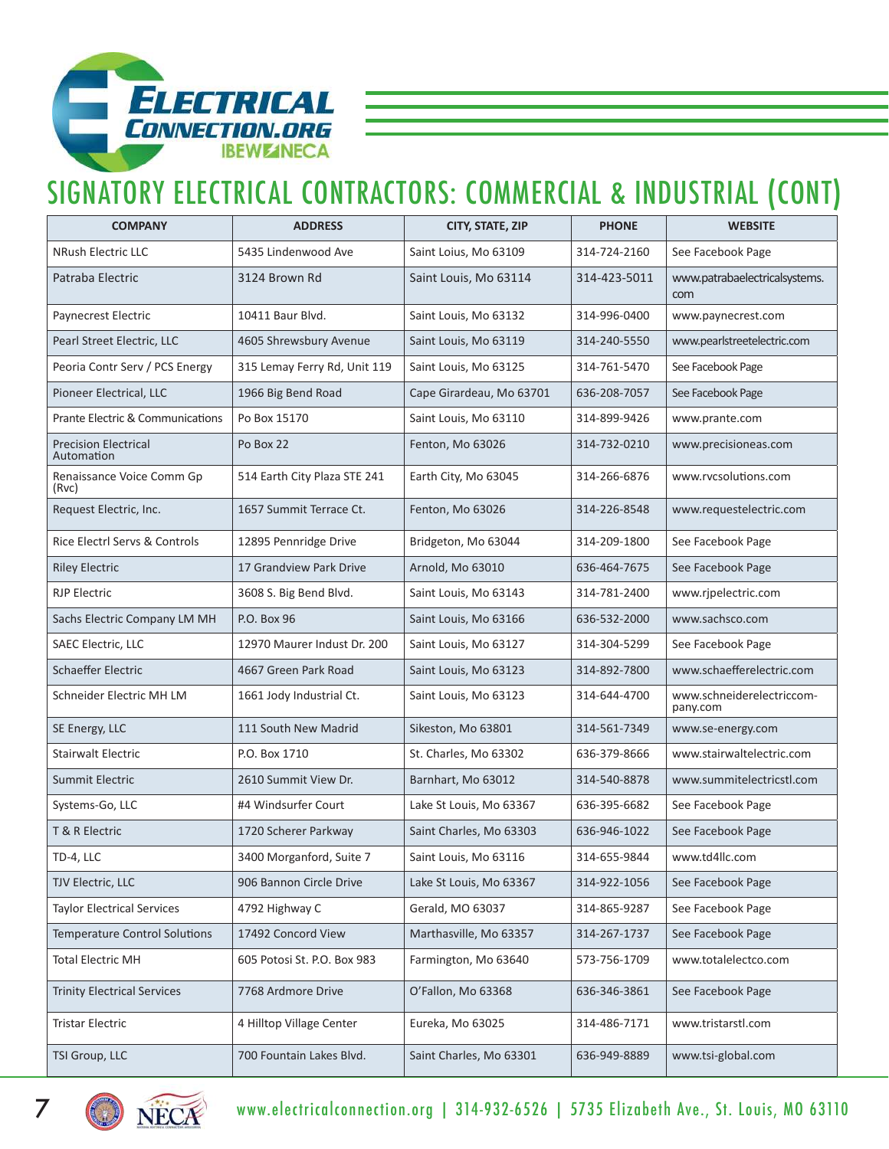

#### SIGNATORY ELECTRICAL CONTRACTORS: COMMERCIAL & INDUSTRIAL (CONT)

| <b>COMPANY</b>                            | <b>ADDRESS</b>               | CITY, STATE, ZIP         | <b>PHONE</b> | <b>WEBSITE</b>                        |
|-------------------------------------------|------------------------------|--------------------------|--------------|---------------------------------------|
| <b>NRush Electric LLC</b>                 | 5435 Lindenwood Ave          | Saint Loius, Mo 63109    | 314-724-2160 | See Facebook Page                     |
| Patraba Electric                          | 3124 Brown Rd                | Saint Louis, Mo 63114    | 314-423-5011 | www.patrabaelectricalsystems.<br>com  |
| Paynecrest Electric                       | 10411 Baur Blvd.             | Saint Louis, Mo 63132    | 314-996-0400 | www.paynecrest.com                    |
| Pearl Street Electric, LLC                | 4605 Shrewsbury Avenue       | Saint Louis, Mo 63119    | 314-240-5550 | www.pearlstreetelectric.com           |
| Peoria Contr Serv / PCS Energy            | 315 Lemay Ferry Rd, Unit 119 | Saint Louis, Mo 63125    | 314-761-5470 | See Facebook Page                     |
| Pioneer Electrical, LLC                   | 1966 Big Bend Road           | Cape Girardeau, Mo 63701 | 636-208-7057 | See Facebook Page                     |
| Prante Electric & Communications          | Po Box 15170                 | Saint Louis, Mo 63110    | 314-899-9426 | www.prante.com                        |
| <b>Precision Electrical</b><br>Automation | Po Box 22                    | Fenton, Mo 63026         | 314-732-0210 | www.precisioneas.com                  |
| Renaissance Voice Comm Gp<br>(Rvc)        | 514 Earth City Plaza STE 241 | Earth City, Mo 63045     | 314-266-6876 | www.rvcsolutions.com                  |
| Request Electric, Inc.                    | 1657 Summit Terrace Ct.      | Fenton, Mo 63026         | 314-226-8548 | www.requestelectric.com               |
| Rice Electrl Servs & Controls             | 12895 Pennridge Drive        | Bridgeton, Mo 63044      | 314-209-1800 | See Facebook Page                     |
| <b>Riley Electric</b>                     | 17 Grandview Park Drive      | Arnold, Mo 63010         | 636-464-7675 | See Facebook Page                     |
| <b>RJP Electric</b>                       | 3608 S. Big Bend Blvd.       | Saint Louis, Mo 63143    | 314-781-2400 | www.rjpelectric.com                   |
| Sachs Electric Company LM MH              | P.O. Box 96                  | Saint Louis, Mo 63166    | 636-532-2000 | www.sachsco.com                       |
| SAEC Electric, LLC                        | 12970 Maurer Indust Dr. 200  | Saint Louis, Mo 63127    | 314-304-5299 | See Facebook Page                     |
| <b>Schaeffer Electric</b>                 | 4667 Green Park Road         | Saint Louis, Mo 63123    | 314-892-7800 | www.schaefferelectric.com             |
| Schneider Electric MH LM                  | 1661 Jody Industrial Ct.     | Saint Louis, Mo 63123    | 314-644-4700 | www.schneiderelectriccom-<br>pany.com |
| SE Energy, LLC                            | 111 South New Madrid         | Sikeston, Mo 63801       | 314-561-7349 | www.se-energy.com                     |
| <b>Stairwalt Electric</b>                 | P.O. Box 1710                | St. Charles, Mo 63302    | 636-379-8666 | www.stairwaltelectric.com             |
| Summit Electric                           | 2610 Summit View Dr.         | Barnhart, Mo 63012       | 314-540-8878 | www.summitelectricstl.com             |
| Systems-Go, LLC                           | #4 Windsurfer Court          | Lake St Louis, Mo 63367  | 636-395-6682 | See Facebook Page                     |
| T & R Electric                            | 1720 Scherer Parkway         | Saint Charles, Mo 63303  | 636-946-1022 | See Facebook Page                     |
| TD-4, LLC                                 | 3400 Morganford, Suite 7     | Saint Louis, Mo 63116    | 314-655-9844 | www.td4llc.com                        |
| <b>TJV Electric, LLC</b>                  | 906 Bannon Circle Drive      | Lake St Louis, Mo 63367  | 314-922-1056 | See Facebook Page                     |
| <b>Taylor Electrical Services</b>         | 4792 Highway C               | Gerald, MO 63037         | 314-865-9287 | See Facebook Page                     |
| <b>Temperature Control Solutions</b>      | 17492 Concord View           | Marthasville, Mo 63357   | 314-267-1737 | See Facebook Page                     |
| Total Electric MH                         | 605 Potosi St. P.O. Box 983  | Farmington, Mo 63640     | 573-756-1709 | www.totalelectco.com                  |
| <b>Trinity Electrical Services</b>        | 7768 Ardmore Drive           | O'Fallon, Mo 63368       | 636-346-3861 | See Facebook Page                     |
| <b>Tristar Electric</b>                   | 4 Hilltop Village Center     | Eureka, Mo 63025         | 314-486-7171 | www.tristarstl.com                    |
| TSI Group, LLC                            | 700 Fountain Lakes Blvd.     | Saint Charles, Mo 63301  | 636-949-8889 | www.tsi-global.com                    |



7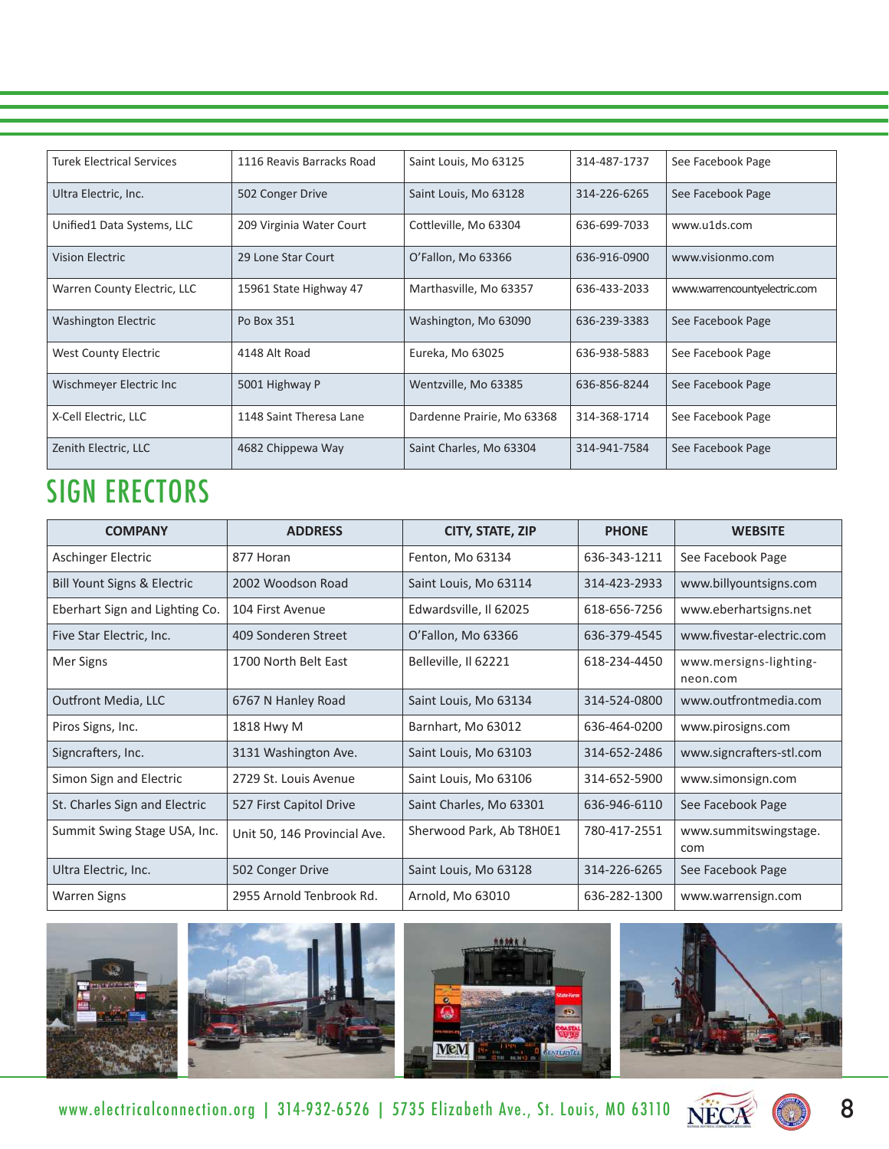| <b>Turek Electrical Services</b> | 1116 Reavis Barracks Road | Saint Louis, Mo 63125      | 314-487-1737 | See Facebook Page            |
|----------------------------------|---------------------------|----------------------------|--------------|------------------------------|
| Ultra Electric, Inc.             | 502 Conger Drive          | Saint Louis, Mo 63128      | 314-226-6265 | See Facebook Page            |
| Unified1 Data Systems, LLC       | 209 Virginia Water Court  | Cottleville, Mo 63304      | 636-699-7033 | www.u1ds.com                 |
| Vision Electric                  | 29 Lone Star Court        | O'Fallon, Mo 63366         | 636-916-0900 | www.visionmo.com             |
| Warren County Electric, LLC      | 15961 State Highway 47    | Marthasville, Mo 63357     | 636-433-2033 | www.warrencountyelectric.com |
| <b>Washington Electric</b>       | Po Box 351                | Washington, Mo 63090       | 636-239-3383 | See Facebook Page            |
| West County Electric             | 4148 Alt Road             | Eureka, Mo 63025           | 636-938-5883 | See Facebook Page            |
| Wischmeyer Electric Inc          | 5001 Highway P            | Wentzville, Mo 63385       | 636-856-8244 | See Facebook Page            |
| X-Cell Electric, LLC             | 1148 Saint Theresa Lane   | Dardenne Prairie, Mo 63368 | 314-368-1714 | See Facebook Page            |
| Zenith Electric, LLC             | 4682 Chippewa Way         | Saint Charles, Mo 63304    | 314-941-7584 | See Facebook Page            |

#### SIGN ERECTORS

| <b>COMPANY</b>                 | <b>ADDRESS</b>               | CITY, STATE, ZIP         | <b>PHONE</b> | <b>WEBSITE</b>                     |
|--------------------------------|------------------------------|--------------------------|--------------|------------------------------------|
| Aschinger Electric             | 877 Horan                    | Fenton, Mo 63134         | 636-343-1211 | See Facebook Page                  |
| Bill Yount Signs & Electric    | 2002 Woodson Road            | Saint Louis, Mo 63114    | 314-423-2933 | www.billyountsigns.com             |
| Eberhart Sign and Lighting Co. | 104 First Avenue             | Edwardsville, Il 62025   | 618-656-7256 | www.eberhartsigns.net              |
| Five Star Electric, Inc.       | 409 Sonderen Street          | O'Fallon, Mo 63366       | 636-379-4545 | www.fivestar-electric.com          |
| Mer Signs                      | 1700 North Belt East         | Belleville, Il 62221     | 618-234-4450 | www.mersigns-lighting-<br>neon.com |
| <b>Outfront Media, LLC</b>     | 6767 N Hanley Road           | Saint Louis, Mo 63134    | 314-524-0800 | www.outfrontmedia.com              |
| Piros Signs, Inc.              | 1818 Hwy M                   | Barnhart, Mo 63012       | 636-464-0200 | www.pirosigns.com                  |
| Signcrafters, Inc.             | 3131 Washington Ave.         | Saint Louis, Mo 63103    | 314-652-2486 | www.signcrafters-stl.com           |
| Simon Sign and Electric        | 2729 St. Louis Avenue        | Saint Louis, Mo 63106    | 314-652-5900 | www.simonsign.com                  |
| St. Charles Sign and Electric  | 527 First Capitol Drive      | Saint Charles, Mo 63301  | 636-946-6110 | See Facebook Page                  |
| Summit Swing Stage USA, Inc.   | Unit 50, 146 Provincial Ave. | Sherwood Park, Ab T8H0E1 | 780-417-2551 | www.summitswingstage.<br>com       |
| Ultra Electric, Inc.           | 502 Conger Drive             | Saint Louis, Mo 63128    | 314-226-6265 | See Facebook Page                  |
| <b>Warren Signs</b>            | 2955 Arnold Tenbrook Rd.     | Arnold, Mo 63010         | 636-282-1300 | www.warrensign.com                 |



www.electricalconnection.org | 314-932-6526 | 5735 Elizabeth Ave., St. Louis, MO 63110 NECA

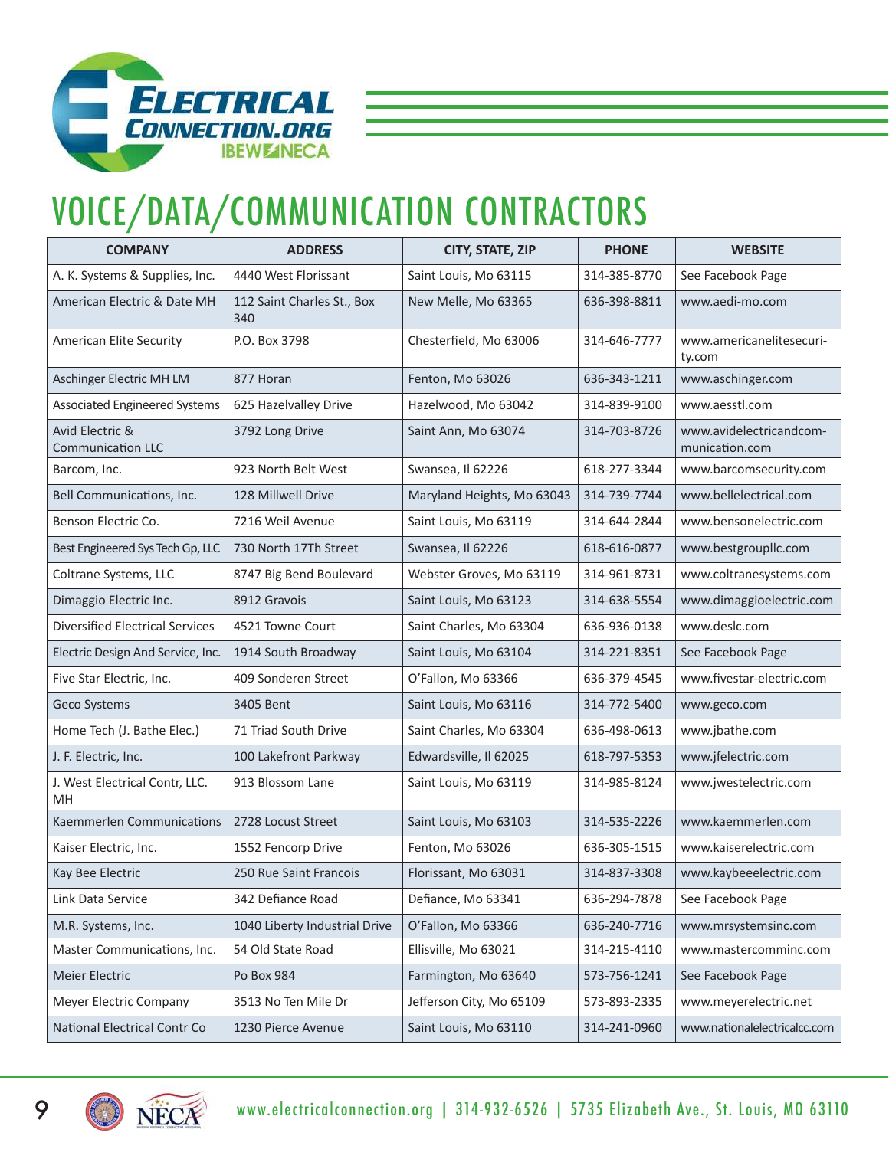

### VOICE/DATA/COMMUNICATION CONTRACTORS

| <b>COMPANY</b>                              | <b>ADDRESS</b>                    | CITY, STATE, ZIP           | <b>PHONE</b> | <b>WEBSITE</b>                            |
|---------------------------------------------|-----------------------------------|----------------------------|--------------|-------------------------------------------|
| A. K. Systems & Supplies, Inc.              | 4440 West Florissant              | Saint Louis, Mo 63115      | 314-385-8770 | See Facebook Page                         |
| American Electric & Date MH                 | 112 Saint Charles St., Box<br>340 | New Melle, Mo 63365        | 636-398-8811 | www.aedi-mo.com                           |
| American Elite Security                     | P.O. Box 3798                     | Chesterfield, Mo 63006     | 314-646-7777 | www.americanelitesecuri-<br>ty.com        |
| Aschinger Electric MH LM                    | 877 Horan                         | Fenton, Mo 63026           | 636-343-1211 | www.aschinger.com                         |
| <b>Associated Engineered Systems</b>        | 625 Hazelvalley Drive             | Hazelwood, Mo 63042        | 314-839-9100 | www.aesstl.com                            |
| Avid Electric &<br><b>Communication LLC</b> | 3792 Long Drive                   | Saint Ann, Mo 63074        | 314-703-8726 | www.avidelectricandcom-<br>munication.com |
| Barcom, Inc.                                | 923 North Belt West               | Swansea, Il 62226          | 618-277-3344 | www.barcomsecurity.com                    |
| Bell Communications, Inc.                   | 128 Millwell Drive                | Maryland Heights, Mo 63043 | 314-739-7744 | www.bellelectrical.com                    |
| Benson Electric Co.                         | 7216 Weil Avenue                  | Saint Louis, Mo 63119      | 314-644-2844 | www.bensonelectric.com                    |
| Best Engineered Sys Tech Gp, LLC            | 730 North 17Th Street             | Swansea, Il 62226          | 618-616-0877 | www.bestgroupllc.com                      |
| Coltrane Systems, LLC                       | 8747 Big Bend Boulevard           | Webster Groves, Mo 63119   | 314-961-8731 | www.coltranesystems.com                   |
| Dimaggio Electric Inc.                      | 8912 Gravois                      | Saint Louis, Mo 63123      | 314-638-5554 | www.dimaggioelectric.com                  |
| <b>Diversified Electrical Services</b>      | 4521 Towne Court                  | Saint Charles, Mo 63304    | 636-936-0138 | www.deslc.com                             |
| Electric Design And Service, Inc.           | 1914 South Broadway               | Saint Louis, Mo 63104      | 314-221-8351 | See Facebook Page                         |
| Five Star Electric, Inc.                    | 409 Sonderen Street               | O'Fallon, Mo 63366         | 636-379-4545 | www.fivestar-electric.com                 |
| Geco Systems                                | 3405 Bent                         | Saint Louis, Mo 63116      | 314-772-5400 | www.geco.com                              |
| Home Tech (J. Bathe Elec.)                  | 71 Triad South Drive              | Saint Charles, Mo 63304    | 636-498-0613 | www.jbathe.com                            |
| J. F. Electric, Inc.                        | 100 Lakefront Parkway             | Edwardsville, Il 62025     | 618-797-5353 | www.jfelectric.com                        |
| J. West Electrical Contr, LLC.<br>MН        | 913 Blossom Lane                  | Saint Louis, Mo 63119      | 314-985-8124 | www.jwestelectric.com                     |
| Kaemmerlen Communications                   | 2728 Locust Street                | Saint Louis, Mo 63103      | 314-535-2226 | www.kaemmerlen.com                        |
| Kaiser Electric, Inc.                       | 1552 Fencorp Drive                | Fenton, Mo 63026           | 636-305-1515 | www.kaiserelectric.com                    |
| Kay Bee Electric                            | 250 Rue Saint Francois            | Florissant, Mo 63031       | 314-837-3308 | www.kaybeeelectric.com                    |
| Link Data Service                           | 342 Defiance Road                 | Defiance, Mo 63341         | 636-294-7878 | See Facebook Page                         |
| M.R. Systems, Inc.                          | 1040 Liberty Industrial Drive     | O'Fallon, Mo 63366         | 636-240-7716 | www.mrsystemsinc.com                      |
| Master Communications, Inc.                 | 54 Old State Road                 | Ellisville, Mo 63021       | 314-215-4110 | www.mastercomminc.com                     |
| Meier Electric                              | Po Box 984                        | Farmington, Mo 63640       | 573-756-1241 | See Facebook Page                         |
| Meyer Electric Company                      | 3513 No Ten Mile Dr               | Jefferson City, Mo 65109   | 573-893-2335 | www.meyerelectric.net                     |
| <b>National Electrical Contr Co</b>         | 1230 Pierce Avenue                | Saint Louis, Mo 63110      | 314-241-0960 | www.nationalelectricalcc.com              |

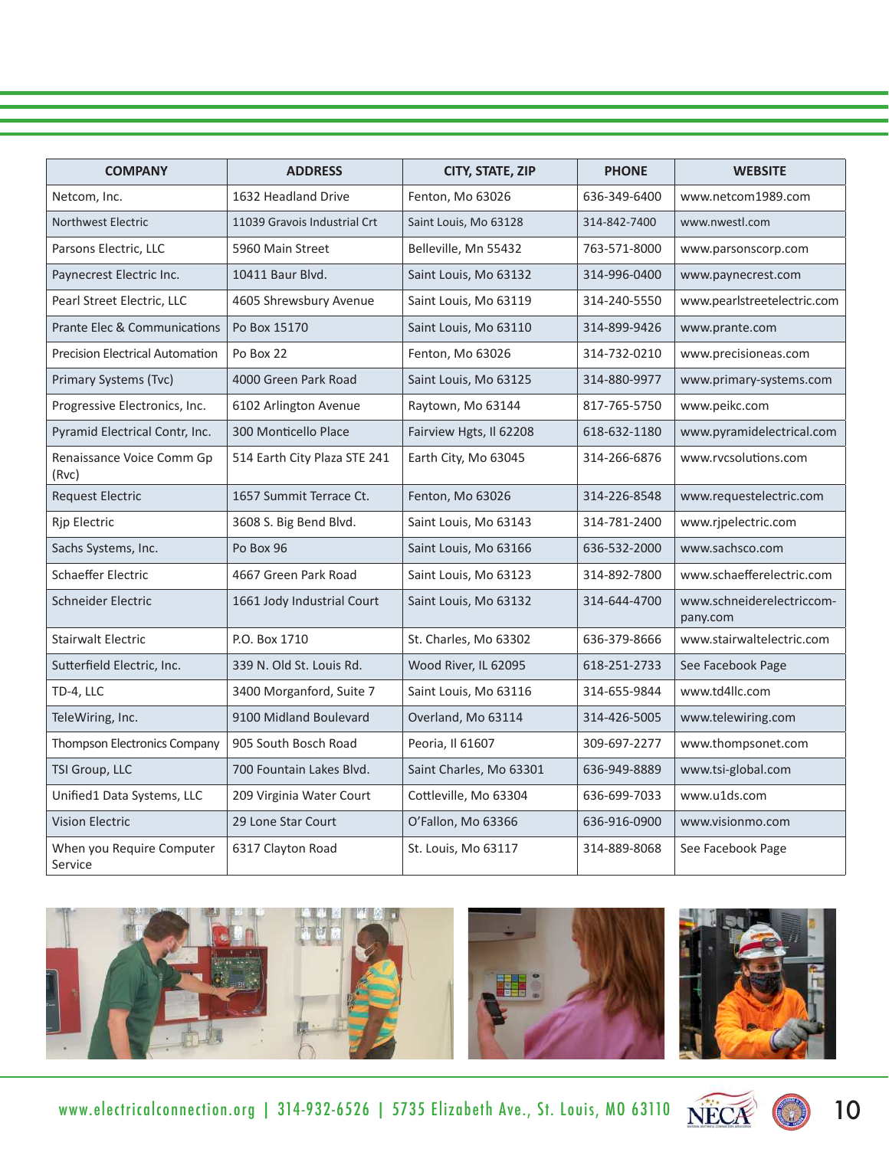| <b>COMPANY</b>                          | <b>ADDRESS</b>               | CITY, STATE, ZIP        | <b>PHONE</b> | <b>WEBSITE</b>                        |
|-----------------------------------------|------------------------------|-------------------------|--------------|---------------------------------------|
| Netcom, Inc.                            | 1632 Headland Drive          | Fenton, Mo 63026        | 636-349-6400 | www.netcom1989.com                    |
| Northwest Electric                      | 11039 Gravois Industrial Crt | Saint Louis, Mo 63128   | 314-842-7400 | www.nwestl.com                        |
| Parsons Electric, LLC                   | 5960 Main Street             | Belleville, Mn 55432    | 763-571-8000 | www.parsonscorp.com                   |
| Paynecrest Electric Inc.                | 10411 Baur Blvd.             | Saint Louis, Mo 63132   | 314-996-0400 | www.paynecrest.com                    |
| Pearl Street Electric, LLC              | 4605 Shrewsbury Avenue       | Saint Louis, Mo 63119   | 314-240-5550 | www.pearlstreetelectric.com           |
| <b>Prante Elec &amp; Communications</b> | Po Box 15170                 | Saint Louis, Mo 63110   | 314-899-9426 | www.prante.com                        |
| <b>Precision Electrical Automation</b>  | Po Box 22                    | Fenton, Mo 63026        | 314-732-0210 | www.precisioneas.com                  |
| Primary Systems (Tvc)                   | 4000 Green Park Road         | Saint Louis, Mo 63125   | 314-880-9977 | www.primary-systems.com               |
| Progressive Electronics, Inc.           | 6102 Arlington Avenue        | Raytown, Mo 63144       | 817-765-5750 | www.peikc.com                         |
| Pyramid Electrical Contr, Inc.          | 300 Monticello Place         | Fairview Hgts, Il 62208 | 618-632-1180 | www.pyramidelectrical.com             |
| Renaissance Voice Comm Gp<br>(Rvc)      | 514 Earth City Plaza STE 241 | Earth City, Mo 63045    | 314-266-6876 | www.rvcsolutions.com                  |
| <b>Request Electric</b>                 | 1657 Summit Terrace Ct.      | Fenton, Mo 63026        | 314-226-8548 | www.requestelectric.com               |
| <b>Rjp Electric</b>                     | 3608 S. Big Bend Blvd.       | Saint Louis, Mo 63143   | 314-781-2400 | www.ripelectric.com                   |
| Sachs Systems, Inc.                     | Po Box 96                    | Saint Louis, Mo 63166   | 636-532-2000 | www.sachsco.com                       |
| <b>Schaeffer Electric</b>               | 4667 Green Park Road         | Saint Louis, Mo 63123   | 314-892-7800 | www.schaefferelectric.com             |
| Schneider Electric                      | 1661 Jody Industrial Court   | Saint Louis, Mo 63132   | 314-644-4700 | www.schneiderelectriccom-<br>pany.com |
| <b>Stairwalt Electric</b>               | P.O. Box 1710                | St. Charles, Mo 63302   | 636-379-8666 | www.stairwaltelectric.com             |
| Sutterfield Electric, Inc.              | 339 N. Old St. Louis Rd.     | Wood River, IL 62095    | 618-251-2733 | See Facebook Page                     |
| TD-4, LLC                               | 3400 Morganford, Suite 7     | Saint Louis, Mo 63116   | 314-655-9844 | www.td4llc.com                        |
| TeleWiring, Inc.                        | 9100 Midland Boulevard       | Overland, Mo 63114      | 314-426-5005 | www.telewiring.com                    |
| Thompson Electronics Company            | 905 South Bosch Road         | Peoria, Il 61607        | 309-697-2277 | www.thompsonet.com                    |
| TSI Group, LLC                          | 700 Fountain Lakes Blvd.     | Saint Charles, Mo 63301 | 636-949-8889 | www.tsi-global.com                    |
| Unified1 Data Systems, LLC              | 209 Virginia Water Court     | Cottleville, Mo 63304   | 636-699-7033 | www.u1ds.com                          |
| <b>Vision Electric</b>                  | 29 Lone Star Court           | O'Fallon, Mo 63366      | 636-916-0900 | www.visionmo.com                      |
| When you Require Computer<br>Service    | 6317 Clayton Road            | St. Louis, Mo 63117     | 314-889-8068 | See Facebook Page                     |



www.electricalconnection.org | 314-932-6526 | 5735 Elizabeth Ave., St. Louis, MO 63110  $\widetilde{\text{NECA}}$ 



10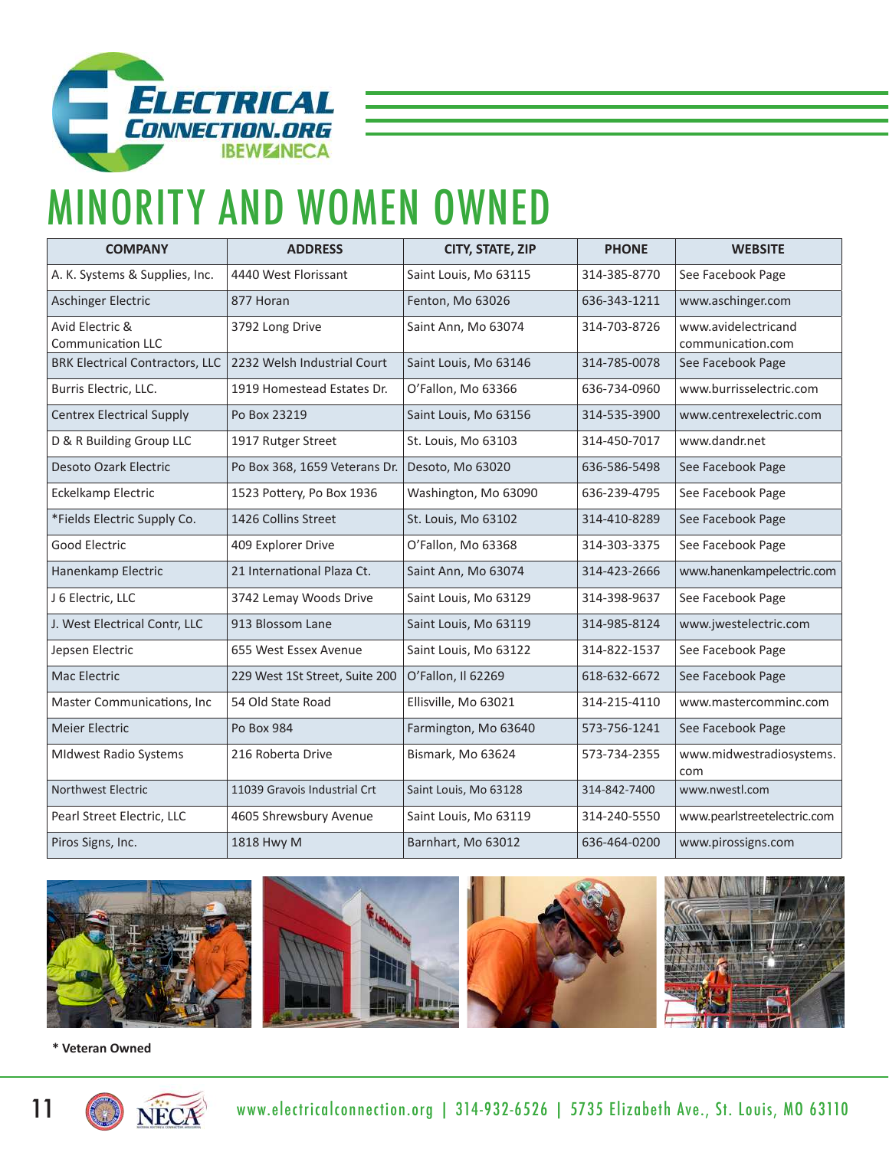

# MINORITY AND WOMEN OWNED

| <b>COMPANY</b>                              | <b>ADDRESS</b>                 | CITY, STATE, ZIP      | <b>PHONE</b> | <b>WEBSITE</b>                           |
|---------------------------------------------|--------------------------------|-----------------------|--------------|------------------------------------------|
| A. K. Systems & Supplies, Inc.              | 4440 West Florissant           | Saint Louis, Mo 63115 | 314-385-8770 | See Facebook Page                        |
| <b>Aschinger Electric</b>                   | 877 Horan                      | Fenton, Mo 63026      | 636-343-1211 | www.aschinger.com                        |
| Avid Electric &<br><b>Communication LLC</b> | 3792 Long Drive                | Saint Ann, Mo 63074   | 314-703-8726 | www.avidelectricand<br>communication.com |
| <b>BRK Electrical Contractors, LLC</b>      | 2232 Welsh Industrial Court    | Saint Louis, Mo 63146 | 314-785-0078 | See Facebook Page                        |
| Burris Electric, LLC.                       | 1919 Homestead Estates Dr.     | O'Fallon, Mo 63366    | 636-734-0960 | www.burrisselectric.com                  |
| <b>Centrex Electrical Supply</b>            | Po Box 23219                   | Saint Louis, Mo 63156 | 314-535-3900 | www.centrexelectric.com                  |
| D & R Building Group LLC                    | 1917 Rutger Street             | St. Louis, Mo 63103   | 314-450-7017 | www.dandr.net                            |
| <b>Desoto Ozark Electric</b>                | Po Box 368, 1659 Veterans Dr.  | Desoto, Mo 63020      | 636-586-5498 | See Facebook Page                        |
| Eckelkamp Electric                          | 1523 Pottery, Po Box 1936      | Washington, Mo 63090  | 636-239-4795 | See Facebook Page                        |
| *Fields Electric Supply Co.                 | 1426 Collins Street            | St. Louis, Mo 63102   | 314-410-8289 | See Facebook Page                        |
| <b>Good Electric</b>                        | 409 Explorer Drive             | O'Fallon, Mo 63368    | 314-303-3375 | See Facebook Page                        |
| Hanenkamp Electric                          | 21 International Plaza Ct.     | Saint Ann, Mo 63074   | 314-423-2666 | www.hanenkampelectric.com                |
| J 6 Electric, LLC                           | 3742 Lemay Woods Drive         | Saint Louis, Mo 63129 | 314-398-9637 | See Facebook Page                        |
| J. West Electrical Contr, LLC               | 913 Blossom Lane               | Saint Louis, Mo 63119 | 314-985-8124 | www.jwestelectric.com                    |
| Jepsen Electric                             | 655 West Essex Avenue          | Saint Louis, Mo 63122 | 314-822-1537 | See Facebook Page                        |
| Mac Electric                                | 229 West 1St Street, Suite 200 | O'Fallon, Il 62269    | 618-632-6672 | See Facebook Page                        |
| Master Communications, Inc                  | 54 Old State Road              | Ellisville, Mo 63021  | 314-215-4110 | www.mastercomminc.com                    |
| <b>Meier Electric</b>                       | Po Box 984                     | Farmington, Mo 63640  | 573-756-1241 | See Facebook Page                        |
| <b>MIdwest Radio Systems</b>                | 216 Roberta Drive              | Bismark, Mo 63624     | 573-734-2355 | www.midwestradiosystems.<br>com          |
| <b>Northwest Electric</b>                   | 11039 Gravois Industrial Crt   | Saint Louis, Mo 63128 | 314-842-7400 | www.nwestl.com                           |
| Pearl Street Electric, LLC                  | 4605 Shrewsbury Avenue         | Saint Louis, Mo 63119 | 314-240-5550 | www.pearlstreetelectric.com              |
| Piros Signs, Inc.                           | 1818 Hwy M                     | Barnhart, Mo 63012    | 636-464-0200 | www.pirossigns.com                       |









**\* Veteran Owned**

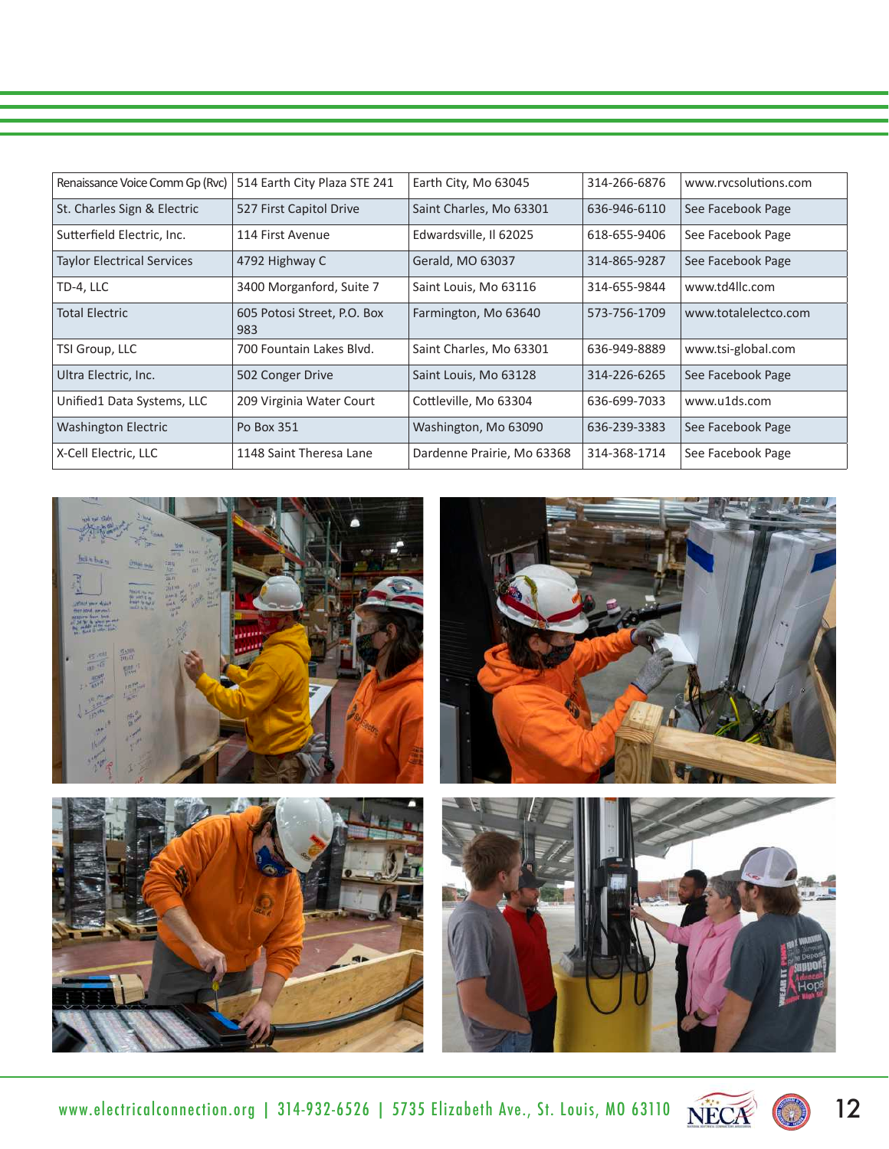| Renaissance Voice Comm Gp (Rvc)   | 514 Earth City Plaza STE 241       | Earth City, Mo 63045       | 314-266-6876 | www.rycsolutions.com |
|-----------------------------------|------------------------------------|----------------------------|--------------|----------------------|
| St. Charles Sign & Electric       | 527 First Capitol Drive            | Saint Charles, Mo 63301    | 636-946-6110 | See Facebook Page    |
| Sutterfield Electric, Inc.        | 114 First Avenue                   | Edwardsville, Il 62025     | 618-655-9406 | See Facebook Page    |
| <b>Taylor Electrical Services</b> | 4792 Highway C                     | Gerald, MO 63037           | 314-865-9287 | See Facebook Page    |
| TD-4, LLC                         | 3400 Morganford, Suite 7           | Saint Louis, Mo 63116      | 314-655-9844 | www.td4llc.com       |
| <b>Total Electric</b>             | 605 Potosi Street, P.O. Box<br>983 | Farmington, Mo 63640       | 573-756-1709 | www.totalelectco.com |
| TSI Group, LLC                    | 700 Fountain Lakes Blvd.           | Saint Charles, Mo 63301    | 636-949-8889 | www.tsi-global.com   |
| Ultra Electric, Inc.              | 502 Conger Drive                   | Saint Louis, Mo 63128      | 314-226-6265 | See Facebook Page    |
| Unified1 Data Systems, LLC        | 209 Virginia Water Court           | Cottleville, Mo 63304      | 636-699-7033 | www.u1ds.com         |
| <b>Washington Electric</b>        | Po Box 351                         | Washington, Mo 63090       | 636-239-3383 | See Facebook Page    |
| X-Cell Electric, LLC              | 1148 Saint Theresa Lane            | Dardenne Prairie, Mo 63368 | 314-368-1714 | See Facebook Page    |



www.electricalconnection.org | 314-932-6526 | 5735 Elizabeth Ave., St. Louis, MO 63110  $\widetilde{\text{NECA}}$   $\bullet$  12

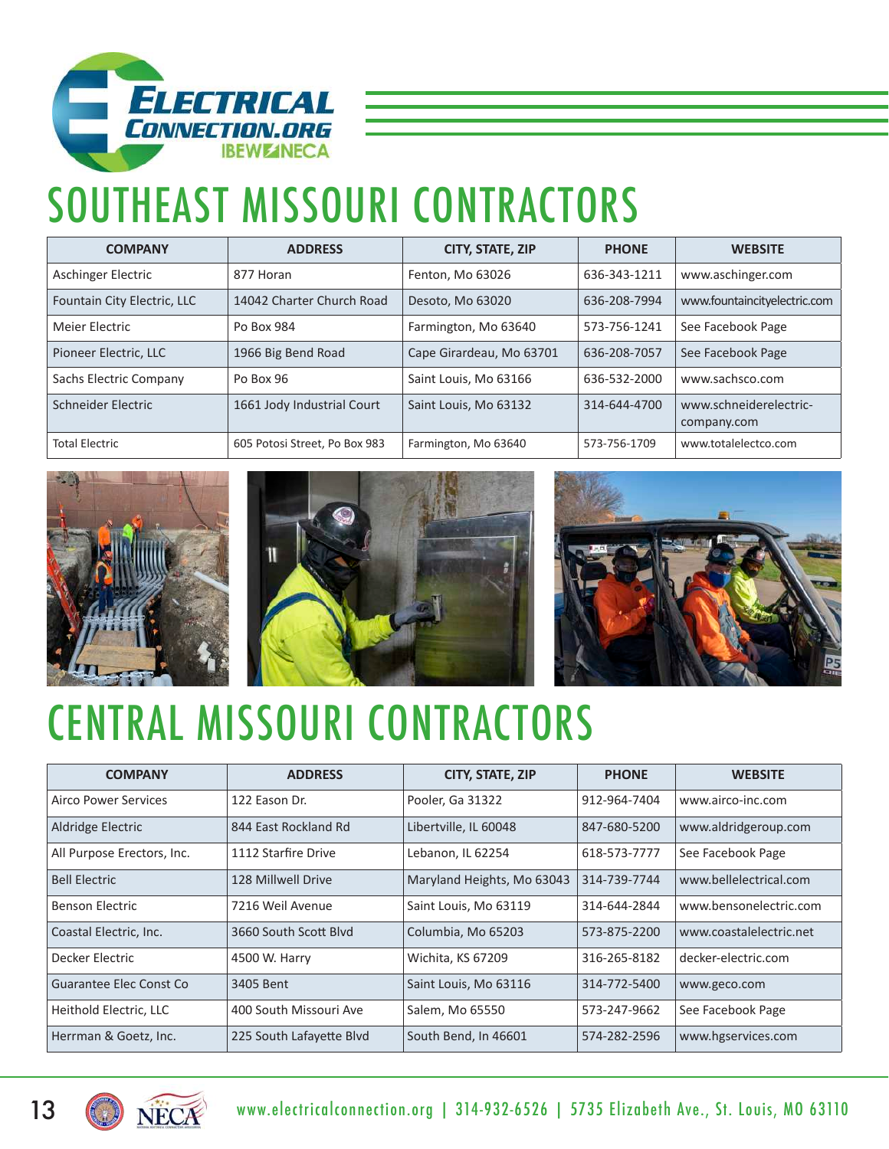

# SOUTHEAST MISSOURI CONTRACTORS

| <b>COMPANY</b>              | <b>ADDRESS</b>                | CITY, STATE, ZIP         | <b>PHONE</b> | <b>WEBSITE</b>                        |
|-----------------------------|-------------------------------|--------------------------|--------------|---------------------------------------|
| Aschinger Electric          | 877 Horan                     | Fenton, Mo 63026         | 636-343-1211 | www.aschinger.com                     |
| Fountain City Electric, LLC | 14042 Charter Church Road     | Desoto, Mo 63020         | 636-208-7994 | www.fountaincityelectric.com          |
| Meier Electric              | Po Box 984                    | Farmington, Mo 63640     | 573-756-1241 | See Facebook Page                     |
| Pioneer Electric, LLC       | 1966 Big Bend Road            | Cape Girardeau, Mo 63701 | 636-208-7057 | See Facebook Page                     |
| Sachs Electric Company      | Po Box 96                     | Saint Louis, Mo 63166    | 636-532-2000 | www.sachsco.com                       |
| Schneider Electric          | 1661 Jody Industrial Court    | Saint Louis, Mo 63132    | 314-644-4700 | www.schneiderelectric-<br>company.com |
| <b>Total Electric</b>       | 605 Potosi Street, Po Box 983 | Farmington, Mo 63640     | 573-756-1709 | www.totalelectco.com                  |







# CENTRAL MISSOURI CONTRACTORS

| <b>COMPANY</b>             | <b>ADDRESS</b>           | CITY, STATE, ZIP           | <b>PHONE</b> | <b>WEBSITE</b>          |
|----------------------------|--------------------------|----------------------------|--------------|-------------------------|
| Airco Power Services       | 122 Eason Dr.            | Pooler, Ga 31322           | 912-964-7404 | www.airco-inc.com       |
| Aldridge Electric          | 844 East Rockland Rd     | Libertville, IL 60048      | 847-680-5200 | www.aldridgeroup.com    |
| All Purpose Erectors, Inc. | 1112 Starfire Drive      | Lebanon, IL 62254          | 618-573-7777 | See Facebook Page       |
| <b>Bell Electric</b>       | 128 Millwell Drive       | Maryland Heights, Mo 63043 | 314-739-7744 | www.bellelectrical.com  |
| Benson Electric            | 7216 Weil Avenue         | Saint Louis, Mo 63119      | 314-644-2844 | www.bensonelectric.com  |
| Coastal Electric, Inc.     | 3660 South Scott Blyd    | Columbia, Mo 65203         | 573-875-2200 | www.coastalelectric.net |
| Decker Electric            | 4500 W. Harry            | Wichita, KS 67209          | 316-265-8182 | decker-electric.com     |
| Guarantee Elec Const Co    | 3405 Bent                | Saint Louis, Mo 63116      | 314-772-5400 | www.geco.com            |
| Heithold Electric, LLC     | 400 South Missouri Ave   | Salem, Mo 65550            | 573-247-9662 | See Facebook Page       |
| Herrman & Goetz, Inc.      | 225 South Lafayette Blvd | South Bend, In 46601       | 574-282-2596 | www.hgservices.com      |

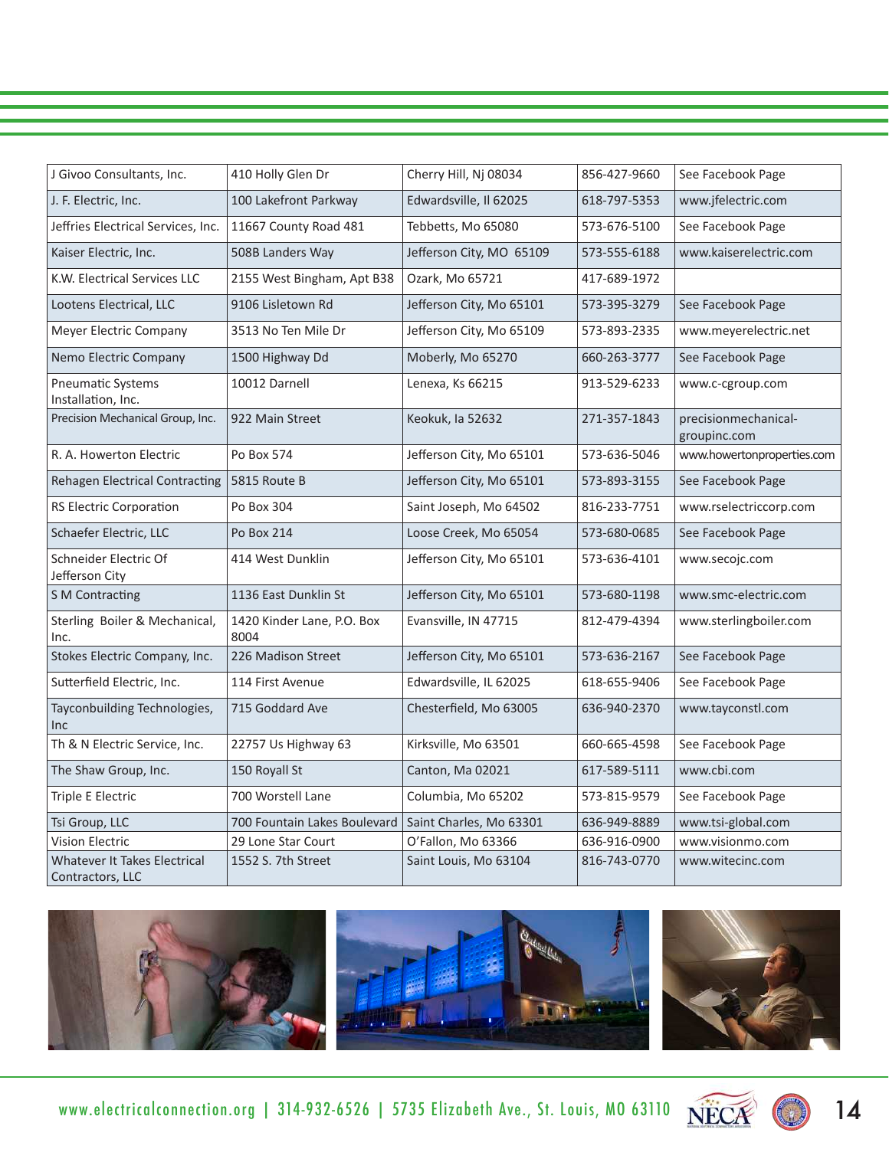| J Givoo Consultants, Inc.                        | 410 Holly Glen Dr                  | Cherry Hill, Nj 08034    | 856-427-9660 | See Facebook Page                    |
|--------------------------------------------------|------------------------------------|--------------------------|--------------|--------------------------------------|
| J. F. Electric, Inc.                             | 100 Lakefront Parkway              | Edwardsville, Il 62025   | 618-797-5353 | www.jfelectric.com                   |
| Jeffries Electrical Services, Inc.               | 11667 County Road 481              | Tebbetts, Mo 65080       | 573-676-5100 | See Facebook Page                    |
| Kaiser Electric, Inc.                            | 508B Landers Way                   | Jefferson City, MO 65109 | 573-555-6188 | www.kaiserelectric.com               |
| K.W. Electrical Services LLC                     | 2155 West Bingham, Apt B38         | Ozark, Mo 65721          | 417-689-1972 |                                      |
| Lootens Electrical, LLC                          | 9106 Lisletown Rd                  | Jefferson City, Mo 65101 | 573-395-3279 | See Facebook Page                    |
| Meyer Electric Company                           | 3513 No Ten Mile Dr                | Jefferson City, Mo 65109 | 573-893-2335 | www.meyerelectric.net                |
| Nemo Electric Company                            | 1500 Highway Dd                    | Moberly, Mo 65270        | 660-263-3777 | See Facebook Page                    |
| <b>Pneumatic Systems</b><br>Installation, Inc.   | 10012 Darnell                      | Lenexa, Ks 66215         | 913-529-6233 | www.c-cgroup.com                     |
| Precision Mechanical Group, Inc.                 | 922 Main Street                    | Keokuk, la 52632         | 271-357-1843 | precisionmechanical-<br>groupinc.com |
| R. A. Howerton Electric                          | Po Box 574                         | Jefferson City, Mo 65101 | 573-636-5046 | www.howertonproperties.com           |
| Rehagen Electrical Contracting                   | 5815 Route B                       | Jefferson City, Mo 65101 | 573-893-3155 | See Facebook Page                    |
| <b>RS Electric Corporation</b>                   | Po Box 304                         | Saint Joseph, Mo 64502   | 816-233-7751 | www.rselectriccorp.com               |
| Schaefer Electric, LLC                           | Po Box 214                         | Loose Creek, Mo 65054    | 573-680-0685 | See Facebook Page                    |
| Schneider Electric Of<br>Jefferson City          | 414 West Dunklin                   | Jefferson City, Mo 65101 | 573-636-4101 | www.secojc.com                       |
| <b>S M Contracting</b>                           | 1136 East Dunklin St               | Jefferson City, Mo 65101 | 573-680-1198 | www.smc-electric.com                 |
| Sterling Boiler & Mechanical,<br>Inc.            | 1420 Kinder Lane, P.O. Box<br>8004 | Evansville, IN 47715     | 812-479-4394 | www.sterlingboiler.com               |
| Stokes Electric Company, Inc.                    | 226 Madison Street                 | Jefferson City, Mo 65101 | 573-636-2167 | See Facebook Page                    |
| Sutterfield Electric, Inc.                       | 114 First Avenue                   | Edwardsville, IL 62025   | 618-655-9406 | See Facebook Page                    |
| Tayconbuilding Technologies,<br><b>Inc</b>       | 715 Goddard Ave                    | Chesterfield, Mo 63005   | 636-940-2370 | www.tayconstl.com                    |
| Th & N Electric Service, Inc.                    | 22757 Us Highway 63                | Kirksville, Mo 63501     | 660-665-4598 | See Facebook Page                    |
| The Shaw Group, Inc.                             | 150 Royall St                      | Canton, Ma 02021         | 617-589-5111 | www.cbi.com                          |
| Triple E Electric                                | 700 Worstell Lane                  | Columbia, Mo 65202       | 573-815-9579 | See Facebook Page                    |
| Tsi Group, LLC                                   | 700 Fountain Lakes Boulevard       | Saint Charles, Mo 63301  | 636-949-8889 | www.tsi-global.com                   |
| <b>Vision Electric</b>                           | 29 Lone Star Court                 | O'Fallon, Mo 63366       | 636-916-0900 | www.visionmo.com                     |
| Whatever It Takes Electrical<br>Contractors, LLC | 1552 S. 7th Street                 | Saint Louis, Mo 63104    | 816-743-0770 | www.witecinc.com                     |



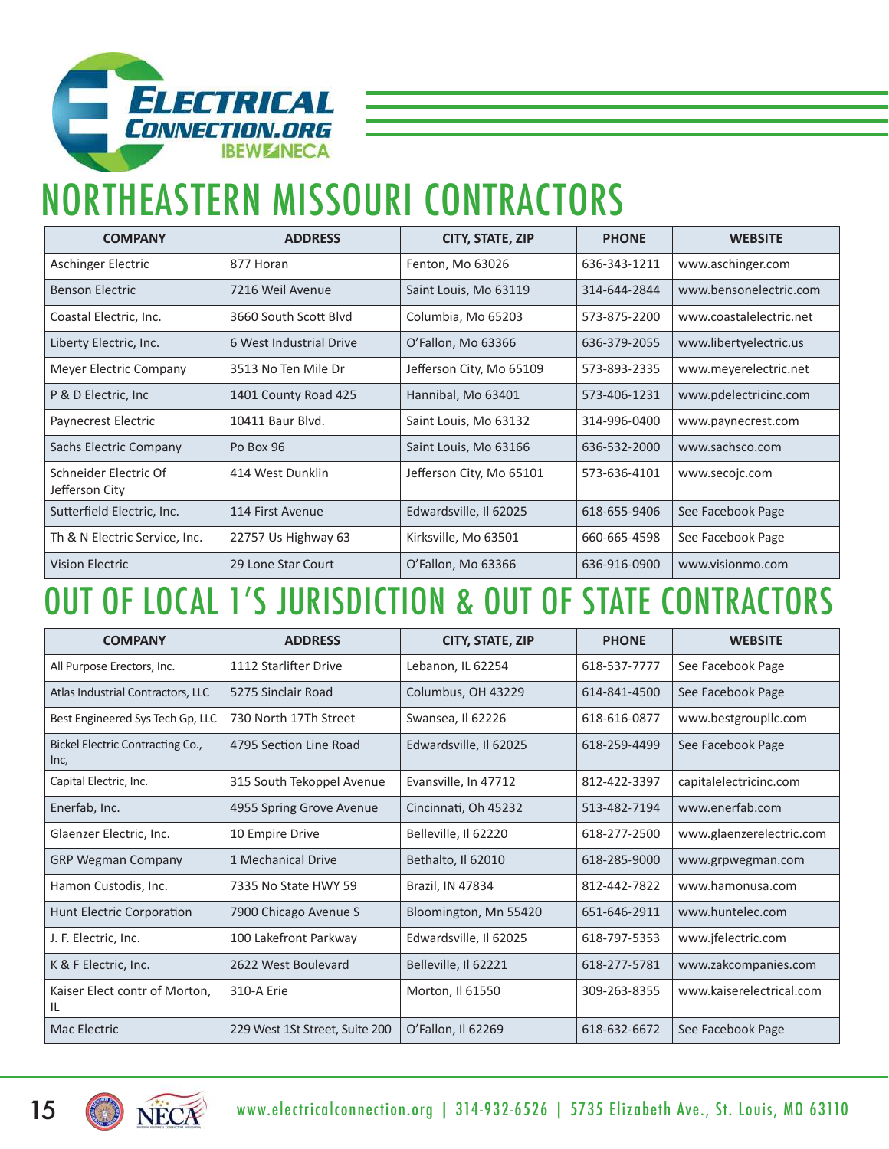

## NORTHEASTERN MISSOURI CONTRACTORS

| <b>COMPANY</b>                          | <b>ADDRESS</b>          | CITY, STATE, ZIP         | <b>PHONE</b> | <b>WEBSITE</b>          |
|-----------------------------------------|-------------------------|--------------------------|--------------|-------------------------|
| Aschinger Electric                      | 877 Horan               | Fenton, Mo 63026         | 636-343-1211 | www.aschinger.com       |
| <b>Benson Electric</b>                  | 7216 Weil Avenue        | Saint Louis, Mo 63119    | 314-644-2844 | www.bensonelectric.com  |
| Coastal Electric, Inc.                  | 3660 South Scott Blyd   | Columbia, Mo 65203       | 573-875-2200 | www.coastalelectric.net |
| Liberty Electric, Inc.                  | 6 West Industrial Drive | O'Fallon, Mo 63366       | 636-379-2055 | www.libertyelectric.us  |
| Meyer Electric Company                  | 3513 No Ten Mile Dr     | Jefferson City, Mo 65109 | 573-893-2335 | www.meyerelectric.net   |
| P & D Electric, Inc.                    | 1401 County Road 425    | Hannibal, Mo 63401       | 573-406-1231 | www.pdelectricinc.com   |
| Paynecrest Electric                     | 10411 Baur Blvd.        | Saint Louis, Mo 63132    | 314-996-0400 | www.paynecrest.com      |
| Sachs Electric Company                  | Po Box 96               | Saint Louis, Mo 63166    | 636-532-2000 | www.sachsco.com         |
| Schneider Electric Of<br>Jefferson City | 414 West Dunklin        | Jefferson City, Mo 65101 | 573-636-4101 | www.secojc.com          |
| Sutterfield Electric, Inc.              | 114 First Avenue        | Edwardsville, Il 62025   | 618-655-9406 | See Facebook Page       |
| Th & N Electric Service, Inc.           | 22757 Us Highway 63     | Kirksville, Mo 63501     | 660-665-4598 | See Facebook Page       |
| <b>Vision Electric</b>                  | 29 Lone Star Court      | O'Fallon, Mo 63366       | 636-916-0900 | www.visionmo.com        |

### OUT OF LOCAL 1'S JURISDICTION & OUT OF STATE CONTRACTORS

| <b>COMPANY</b>                           | <b>ADDRESS</b>                 | CITY, STATE, ZIP       | <b>PHONE</b> | <b>WEBSITE</b>           |
|------------------------------------------|--------------------------------|------------------------|--------------|--------------------------|
| All Purpose Erectors, Inc.               | 1112 Starlifter Drive          | Lebanon, IL 62254      | 618-537-7777 | See Facebook Page        |
| Atlas Industrial Contractors, LLC        | 5275 Sinclair Road             | Columbus, OH 43229     | 614-841-4500 | See Facebook Page        |
| Best Engineered Sys Tech Gp, LLC         | 730 North 17Th Street          | Swansea, Il 62226      | 618-616-0877 | www.bestgroupllc.com     |
| Bickel Electric Contracting Co.,<br>Inc, | 4795 Section Line Road         | Edwardsville, Il 62025 | 618-259-4499 | See Facebook Page        |
| Capital Electric, Inc.                   | 315 South Tekoppel Avenue      | Evansville, In 47712   | 812-422-3397 | capitalelectricinc.com   |
| Enerfab, Inc.                            | 4955 Spring Grove Avenue       | Cincinnati, Oh 45232   | 513-482-7194 | www.enerfab.com          |
| Glaenzer Electric, Inc.                  | 10 Empire Drive                | Belleville, Il 62220   | 618-277-2500 | www.glaenzerelectric.com |
| <b>GRP Wegman Company</b>                | 1 Mechanical Drive             | Bethalto, Il 62010     | 618-285-9000 | www.grpwegman.com        |
| Hamon Custodis, Inc.                     | 7335 No State HWY 59           | Brazil, IN 47834       | 812-442-7822 | www.hamonusa.com         |
| <b>Hunt Electric Corporation</b>         | 7900 Chicago Avenue S          | Bloomington, Mn 55420  | 651-646-2911 | www.huntelec.com         |
| J. F. Electric, Inc.                     | 100 Lakefront Parkway          | Edwardsville, Il 62025 | 618-797-5353 | www.jfelectric.com       |
| K & F Electric, Inc.                     | 2622 West Boulevard            | Belleville, Il 62221   | 618-277-5781 | www.zakcompanies.com     |
| Kaiser Elect contr of Morton,<br>IL      | 310-A Erie                     | Morton, Il 61550       | 309-263-8355 | www.kaiserelectrical.com |
| Mac Electric                             | 229 West 1St Street, Suite 200 | O'Fallon, Il 62269     | 618-632-6672 | See Facebook Page        |